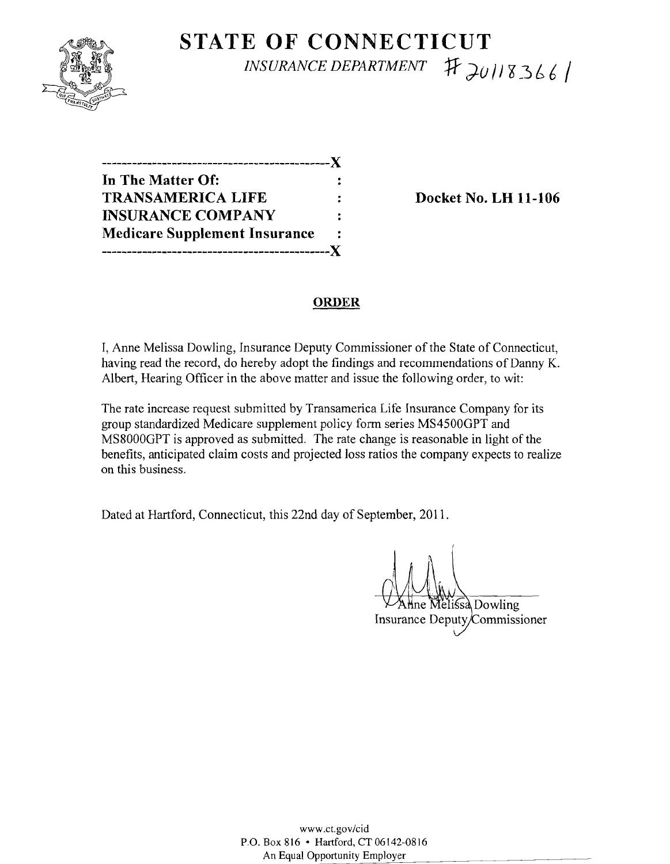

# **STATE OF CONNECTICUT**   $INSURANCE DEPARTMENT 1 7 20118366$

| --------------------------X          |                |
|--------------------------------------|----------------|
| In The Matter Of:                    |                |
| <b>TRANSAMERICA LIFE</b>             |                |
| <b>INSURANCE COMPANY</b>             | $\ddot{\cdot}$ |
| <b>Medicare Supplement Insurance</b> | 2              |
| .------------------------------X     |                |

**Docket No. LH 11-106** 

### **ORDER**

I, Anne Melissa Dowling, Insurance Deputy Commissioner of the State of Connecticut, having read the record, do hereby adopt the findings and recommendations of Danny K. Albert, Hearing Officer in the above matter and issue the following order, to wit:

The rate increase request submitted by Transamerica Life Insurance Company for its group standardized Medicare supplement policy form series MS4500GPT and MS8000GPT is approved as submitted. The rate change is reasonable in light of the benefits, anticipated claim costs and projected loss ratios the company expects to realize on this business.

Dated at Hartford, Connecticut, this 22nd day of September, 2011.

Mne Melissa Dowling Insurance Deputy/Commissioner

www.ct.gov/cid P.O. Box 816 • Hartford, CT 06142-0816 An Equal Opportunity Employer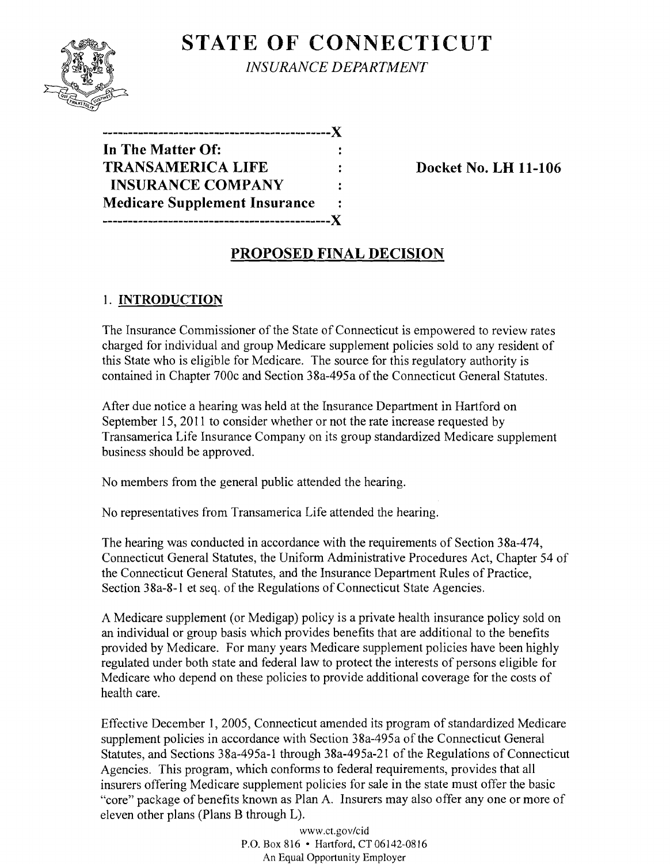# **STATE OF CONNECTICUT**



*INSURANCE DEPARTMENT* 

**---------------------------------------------){ In The Matter Of: TRANSAMERICA LIFE : Docket No. LH 11-106 INSURANCE COMPANY Medicare Supplement Insurance ---------------------------------------------){** 

## **PROPOSED FINAL DECISION**

## 1. **INTRODUCTION**

The Insurance Commissioner of the State of Connecticut is empowered to review rates charged for individual and group Medicare supplement policies sold to any resident of this State who is eligible for Medicare. The source for this regulatory authority is contained in Chapter 700c and Section 38a-495a of the Connecticut General Statutes.

After due notice a hearing was held at the Insurance Department in Hartford on September 15, **2011** to consider whether or not the rate increase requested by Transamerica Life Insurance Company on its group standardized Medicare supplement business should be approved.

No members from the general public attended the hearing.

No representatives from Transamerica Life attended the hearing.

The hearing was conducted in accordance with the requirements of Section 38a-474, Connecticut General Statutes, the Uniform Administrative Procedures Act, Chapter 54 of the Connecticut General Statutes, and the Insurance Department Rules of Practice, Section 38a-8-I et seq. of the Regulations of Connecticut State Agencies.

A Medicare supplement (or Medigap) policy is a private health insurance policy sold on an individual or group basis which provides benefits that are additional to the benefits provided by Medicare. For many years Medicare supplement policies have been highly regulated under both state and federal law to protect the interests of persons eligible for Medicare who depend on these policies to provide additional coverage for the costs of health care.

Effective December 1, 2005, Connecticut amended its program of standardized Medicare supplement policies in accordance with Section 38a-495a of the Connecticut General Statutes, and Sections 38a-495a-l through 38a-495a-2I of the Regulations of Connecticut Agencies. This program, which conforms to federal requirements, provides that all insurers offering Medicare supplement policies for sale in the state must offer the basic "core" package of benefits known as Plan A. Insurers may also offer anyone or more of eleven other plans (Plans B through L).

> www.ct.gov/cid P.O. Box 816 • Hartford, CT 06142-0816 An Equal Opportunity Employer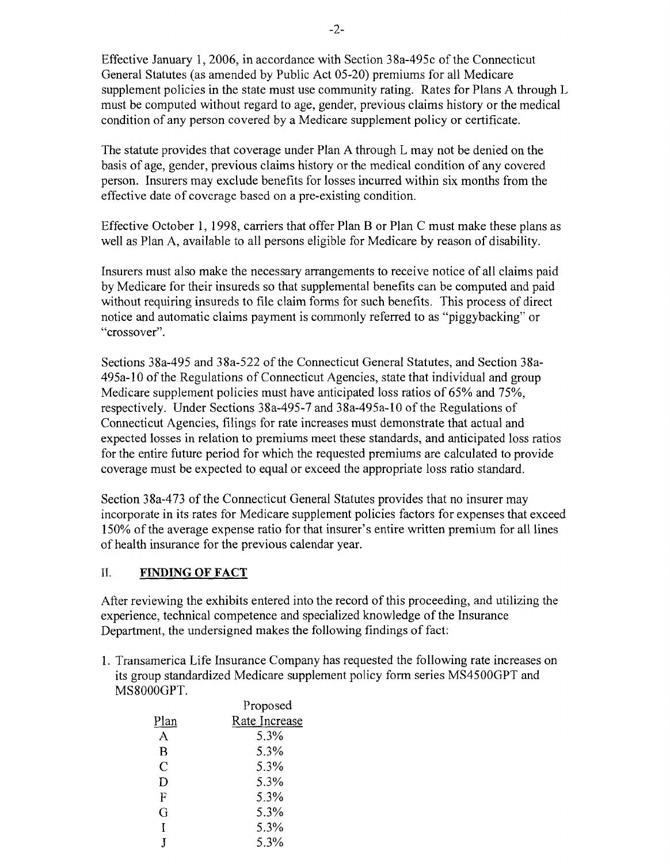Effective January 1,2006, in accordance with Section 38a-495c of the Connecticut General Statutes (as amended by Public Act 05-20) premiums for all Medicare supplement policies in the state must use community rating. Rates for Plans A through L must be computed without regard to age, gender, previous claims history or the medical condition of any person covered by a Medicare supplement policy or certificate.

The statute provides that coverage under Plan A through L may not be denied on the basis of age, gender, previous claims history or the medical condition of any covered person. Insurers may exclude benefits for losses incurred within six months from the effective date of coverage based on a pre-existing condition.

Effective October 1, 1998, carriers that offer Plan B or Plan C must make these plans as well as Plan A, available to all persons eligible for Medicare by reason of disability.

Insurers must also make the necessary arrangements to receive notice of all claims paid by Medicare for their insureds so that supplemental benefits can be computed and paid without requiring insureds to file claim forms for such benefits. This process of direct notice and automatic claims payment is commonly referred to as "piggybacking" or "crossover".

Sections 38a-495 and 38a-522 of the Connecticut General Statutes, and Section 38a-495a-lO of the Regulations of Connecticut Agencies, state that individual and group Medicare supplement policies must have anticipated loss ratios of 65% and 75%, respectively. Under Sections 38a-495-7 and 38a-495a-l0 of the Regulations of Connecticut Agencies, filings for rate increases must demonstrate that actual and expected losses in relation to premiums meet these standards, and anticipated loss ratios for the entire future period for which the requested premiums are calculated to provide coverage must be expected to equal or exceed the appropriate loss ratio standard.

Section 38a-473 of the Connecticut General Statutes provides that no insurer may incorporate in its rates for Medicare supplement policies factors for expenses that exceed 150% of the average expense ratio for that insurer's entire written premium for all lines of health insurance for the previous calendar year.

### **II. FINDING OF FACT**

After reviewing the exhibits entered into the record of this proceeding, and utilizing the experience, technical competence and specialized knowledge of the Insurance Department, the undersigned makes the following findings of fact:

1. Transamerica Life Insurance Company has requested the following rate increases on its group standardized Medicare supplement policy form series MS4500GPT and MS8000GPT.

|               | Proposed      |
|---------------|---------------|
| Plan          | Rate Increase |
| A             | 5.3%          |
| В             | 5.3%          |
| $\mathcal{C}$ | 5.3%          |
| D             | 5.3%          |
| F             | 5.3%          |
| G             | 5.3%          |
| Τ             | 5.3%          |
|               | 5.3%          |